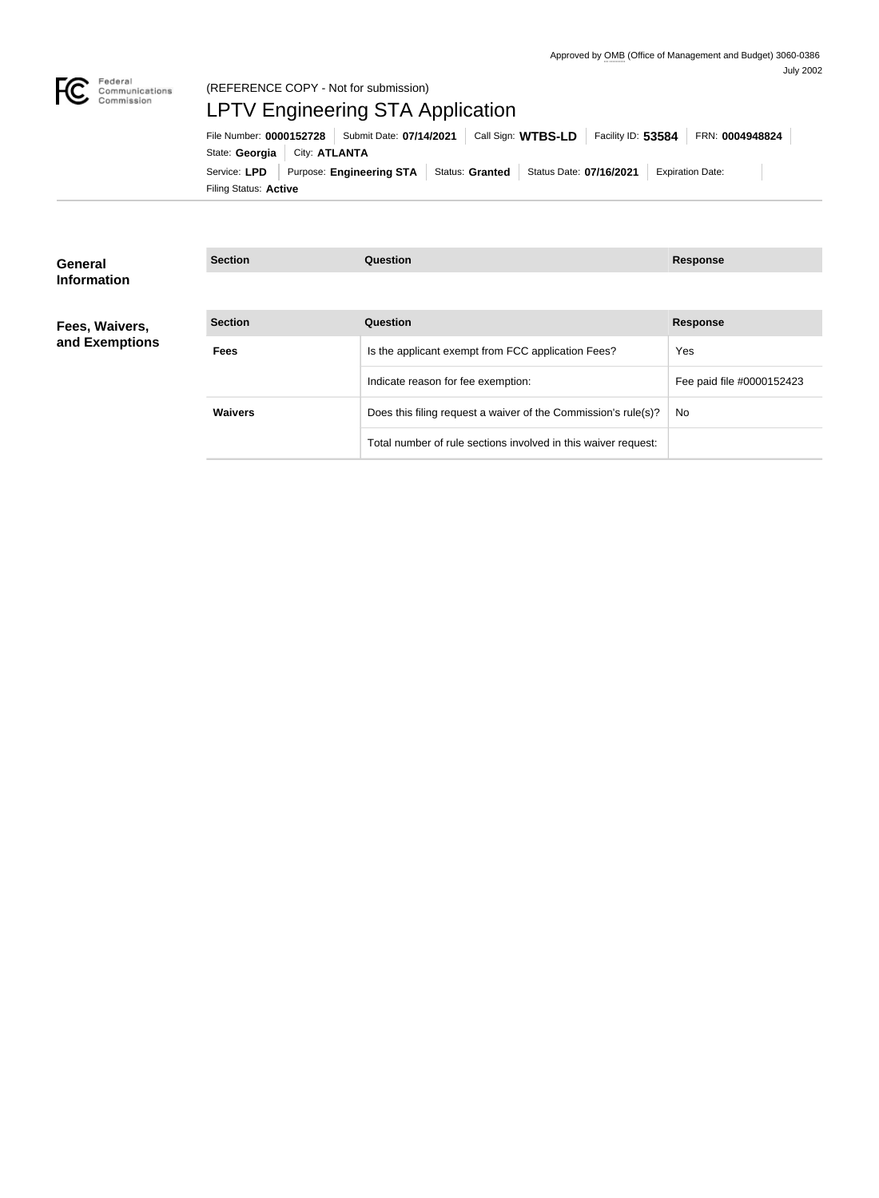

# (REFERENCE COPY - Not for submission) LPTV Engineering STA Application

Filing Status: **Active** Service: LPD Purpose: Engineering STA Status: Granted Status Date: 07/16/2021 Expiration Date: State: Georgia | City: ATLANTA File Number: **0000152728** Submit Date: **07/14/2021** Call Sign: **WTBS-LD** Facility ID: **53584** FRN: **0004948824**

| General                          | <b>Section</b> | <b>Question</b>                                                | <b>Response</b>           |
|----------------------------------|----------------|----------------------------------------------------------------|---------------------------|
| <b>Information</b>               |                |                                                                |                           |
| Fees, Waivers,<br>and Exemptions | <b>Section</b> | <b>Question</b>                                                | <b>Response</b>           |
|                                  | <b>Fees</b>    | Is the applicant exempt from FCC application Fees?             | Yes                       |
|                                  |                | Indicate reason for fee exemption:                             | Fee paid file #0000152423 |
|                                  | <b>Waivers</b> | Does this filing request a waiver of the Commission's rule(s)? | No.                       |
|                                  |                | Total number of rule sections involved in this waiver request: |                           |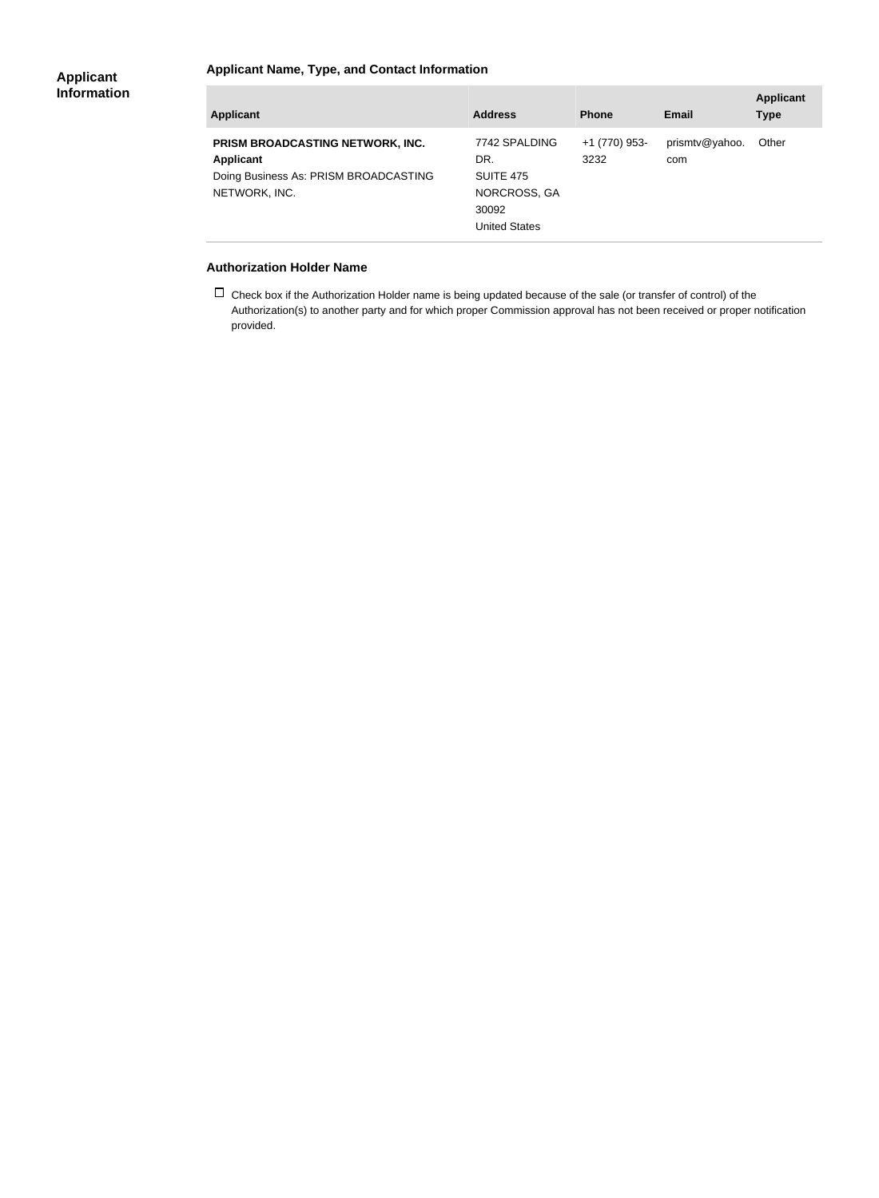### **Applicant Name, Type, and Contact Information**

| <b>Applicant</b>                                                                                                      | <b>Address</b>                                                                     | <b>Phone</b>          | Email                 | <b>Applicant</b><br><b>Type</b> |
|-----------------------------------------------------------------------------------------------------------------------|------------------------------------------------------------------------------------|-----------------------|-----------------------|---------------------------------|
| <b>PRISM BROADCASTING NETWORK, INC.</b><br><b>Applicant</b><br>Doing Business As: PRISM BROADCASTING<br>NETWORK, INC. | 7742 SPALDING<br>DR.<br>SUITE 475<br>NORCROSS, GA<br>30092<br><b>United States</b> | +1 (770) 953-<br>3232 | prismtv@yahoo.<br>com | Other                           |

#### **Authorization Holder Name**

 $\Box$  Check box if the Authorization Holder name is being updated because of the sale (or transfer of control) of the Authorization(s) to another party and for which proper Commission approval has not been received or proper notification provided.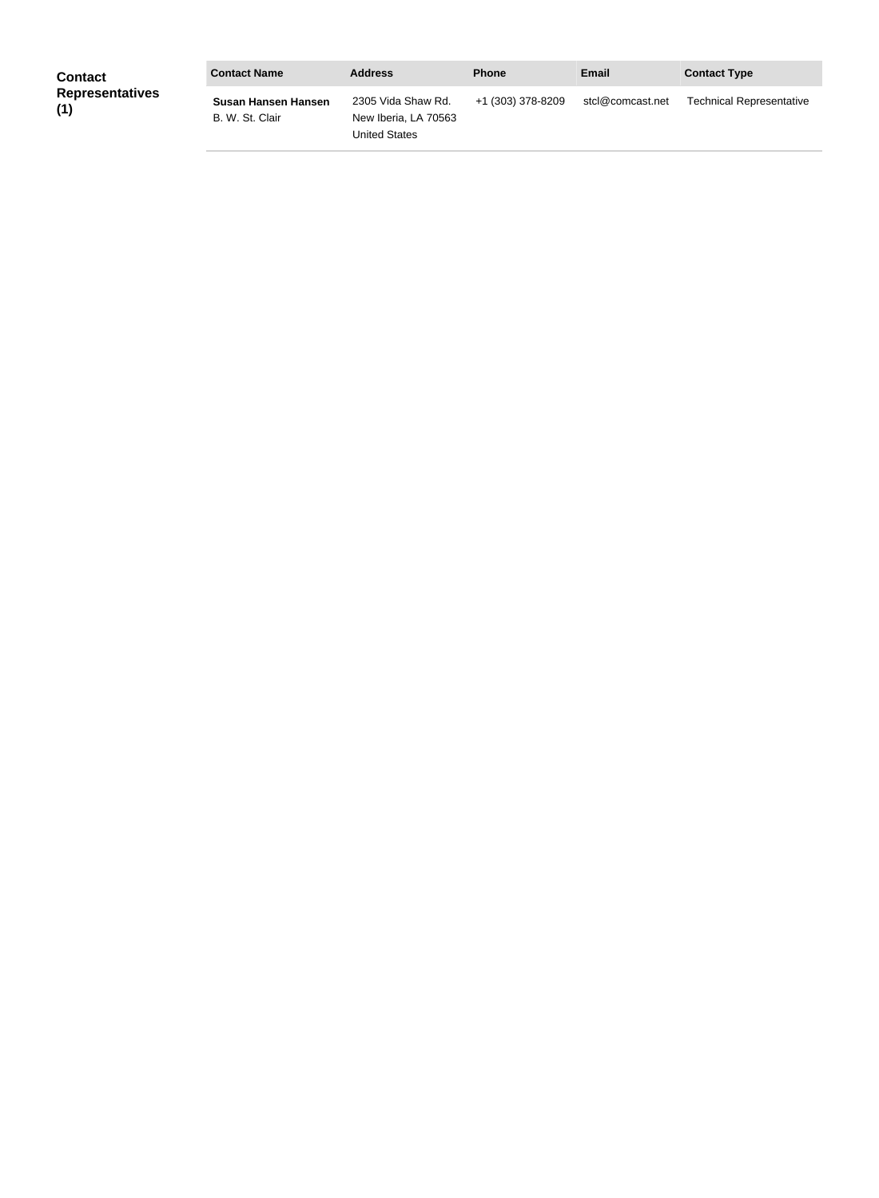| <b>Contact</b>                | <b>Contact Name</b>                    | <b>Address</b>                                                     | <b>Phone</b>      | <b>Email</b>     | <b>Contact Type</b>             |
|-------------------------------|----------------------------------------|--------------------------------------------------------------------|-------------------|------------------|---------------------------------|
| <b>Representatives</b><br>(1) | Susan Hansen Hansen<br>B. W. St. Clair | 2305 Vida Shaw Rd.<br>New Iberia, LA 70563<br><b>United States</b> | +1 (303) 378-8209 | stcl@comcast.net | <b>Technical Representative</b> |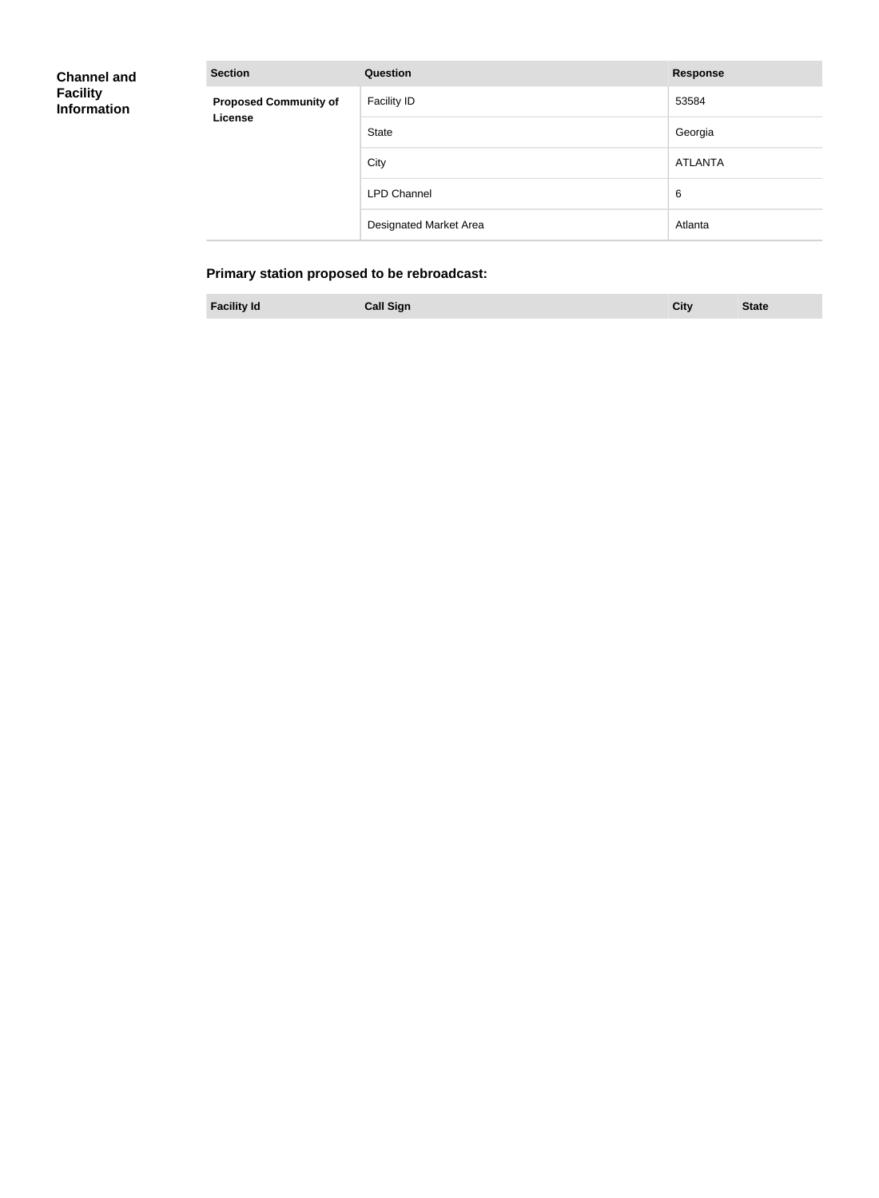| <b>Channel and</b> |
|--------------------|
| <b>Facility</b>    |
| <b>Information</b> |

**Proposed C License**

| <b>Section</b>                          | <b>Question</b>               | <b>Response</b> |
|-----------------------------------------|-------------------------------|-----------------|
| <b>Proposed Community of</b><br>License | <b>Facility ID</b>            | 53584           |
|                                         | <b>State</b>                  | Georgia         |
|                                         | City                          | ATLANTA         |
|                                         | <b>LPD Channel</b>            | 6               |
|                                         | <b>Designated Market Area</b> | Atlanta         |

## **Primary station proposed to be rebroadcast:**

| <b>Facility Id</b> | <b>Call Sign</b> |  | City | <b>State</b> |
|--------------------|------------------|--|------|--------------|
|--------------------|------------------|--|------|--------------|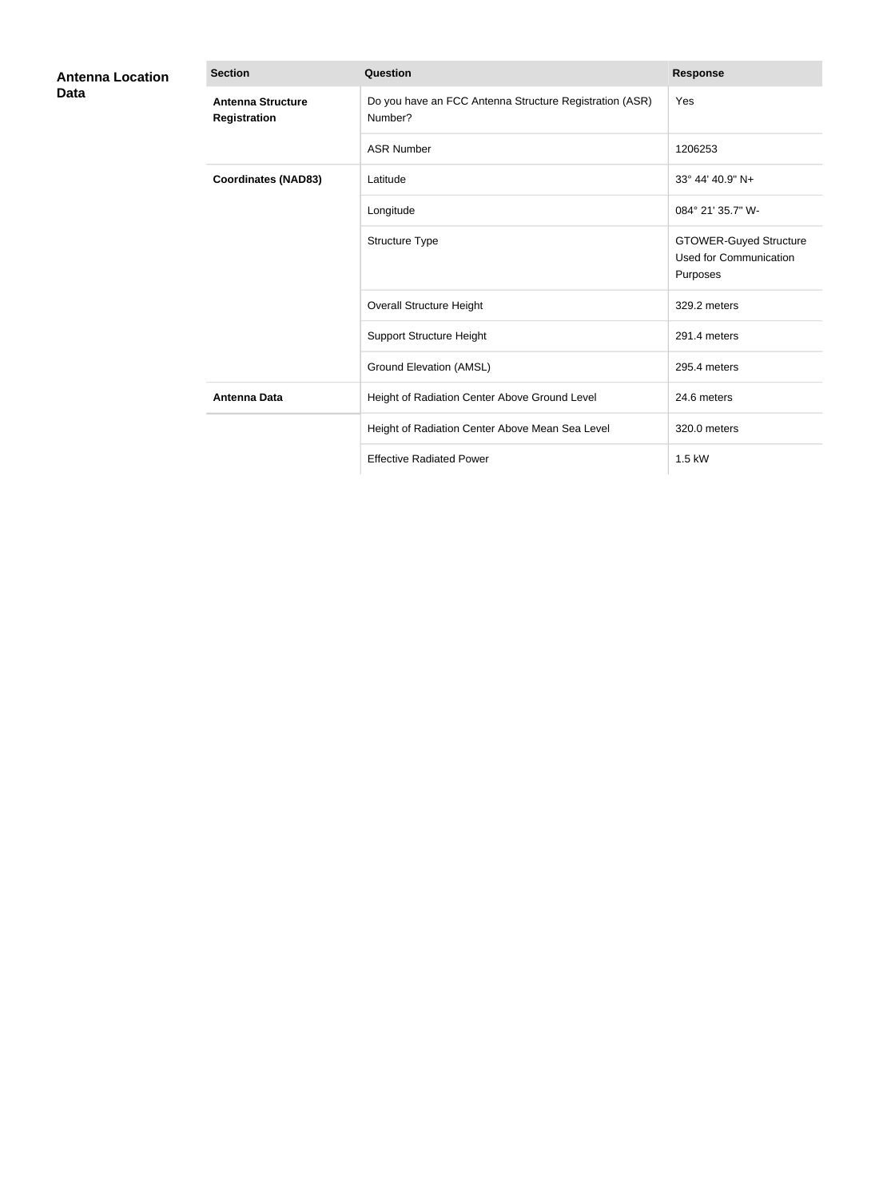| <b>Antenna Location</b><br>Data | <b>Section</b>                           | <b>Question</b>                                                    | <b>Response</b>                                                            |
|---------------------------------|------------------------------------------|--------------------------------------------------------------------|----------------------------------------------------------------------------|
|                                 | <b>Antenna Structure</b><br>Registration | Do you have an FCC Antenna Structure Registration (ASR)<br>Number? | Yes                                                                        |
|                                 |                                          | <b>ASR Number</b>                                                  | 1206253                                                                    |
|                                 | <b>Coordinates (NAD83)</b>               | Latitude                                                           | 33° 44' 40.9" N+                                                           |
|                                 |                                          | Longitude                                                          | 084° 21' 35.7" W-                                                          |
|                                 |                                          | Structure Type                                                     | <b>GTOWER-Guyed Structure</b><br><b>Used for Communication</b><br>Purposes |
|                                 |                                          | Overall Structure Height                                           | 329.2 meters                                                               |
|                                 |                                          | <b>Support Structure Height</b>                                    | 291.4 meters                                                               |
|                                 |                                          | <b>Ground Elevation (AMSL)</b>                                     | 295.4 meters                                                               |
|                                 | <b>Antenna Data</b>                      | Height of Radiation Center Above Ground Level                      | 24.6 meters                                                                |
|                                 |                                          | Height of Radiation Center Above Mean Sea Level                    | 320.0 meters                                                               |
|                                 |                                          | <b>Effective Radiated Power</b>                                    | 1.5 kW                                                                     |
|                                 |                                          |                                                                    |                                                                            |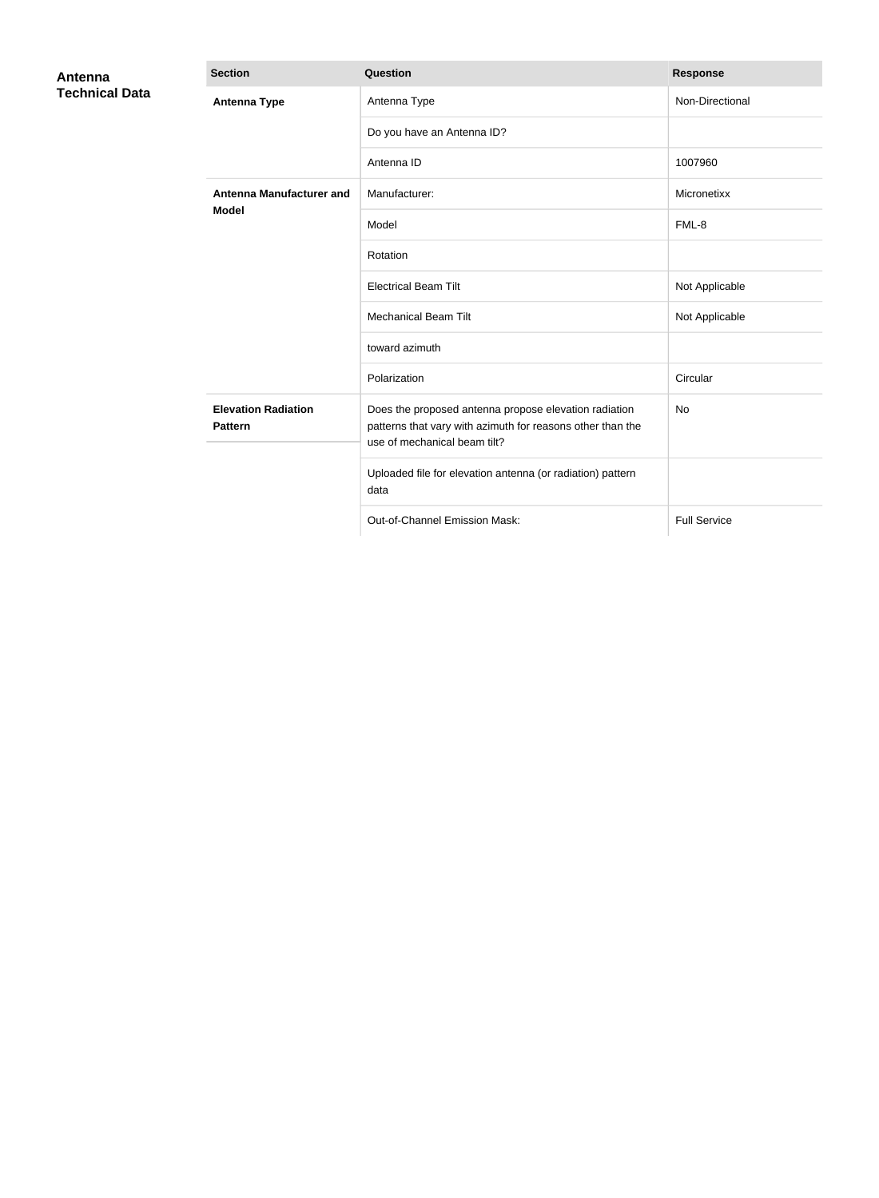| Antenna<br><b>Technical Data</b> | <b>Section</b>                                  | Question                                                                                                                                            | <b>Response</b>     |
|----------------------------------|-------------------------------------------------|-----------------------------------------------------------------------------------------------------------------------------------------------------|---------------------|
|                                  | <b>Antenna Type</b>                             | Antenna Type                                                                                                                                        | Non-Directional     |
|                                  |                                                 | Do you have an Antenna ID?                                                                                                                          |                     |
|                                  |                                                 | Antenna ID                                                                                                                                          | 1007960             |
|                                  | <b>Antenna Manufacturer and</b><br><b>Model</b> | Manufacturer:                                                                                                                                       | Micronetixx         |
|                                  |                                                 | Model                                                                                                                                               | FML-8               |
|                                  |                                                 | Rotation                                                                                                                                            |                     |
|                                  |                                                 | <b>Electrical Beam Tilt</b>                                                                                                                         | Not Applicable      |
|                                  |                                                 | <b>Mechanical Beam Tilt</b>                                                                                                                         | Not Applicable      |
|                                  |                                                 | toward azimuth                                                                                                                                      |                     |
|                                  |                                                 | Polarization                                                                                                                                        | Circular            |
|                                  | <b>Elevation Radiation</b><br><b>Pattern</b>    | Does the proposed antenna propose elevation radiation<br>patterns that vary with azimuth for reasons other than the<br>use of mechanical beam tilt? | No                  |
|                                  |                                                 | Uploaded file for elevation antenna (or radiation) pattern<br>data                                                                                  |                     |
|                                  |                                                 | Out-of-Channel Emission Mask:                                                                                                                       | <b>Full Service</b> |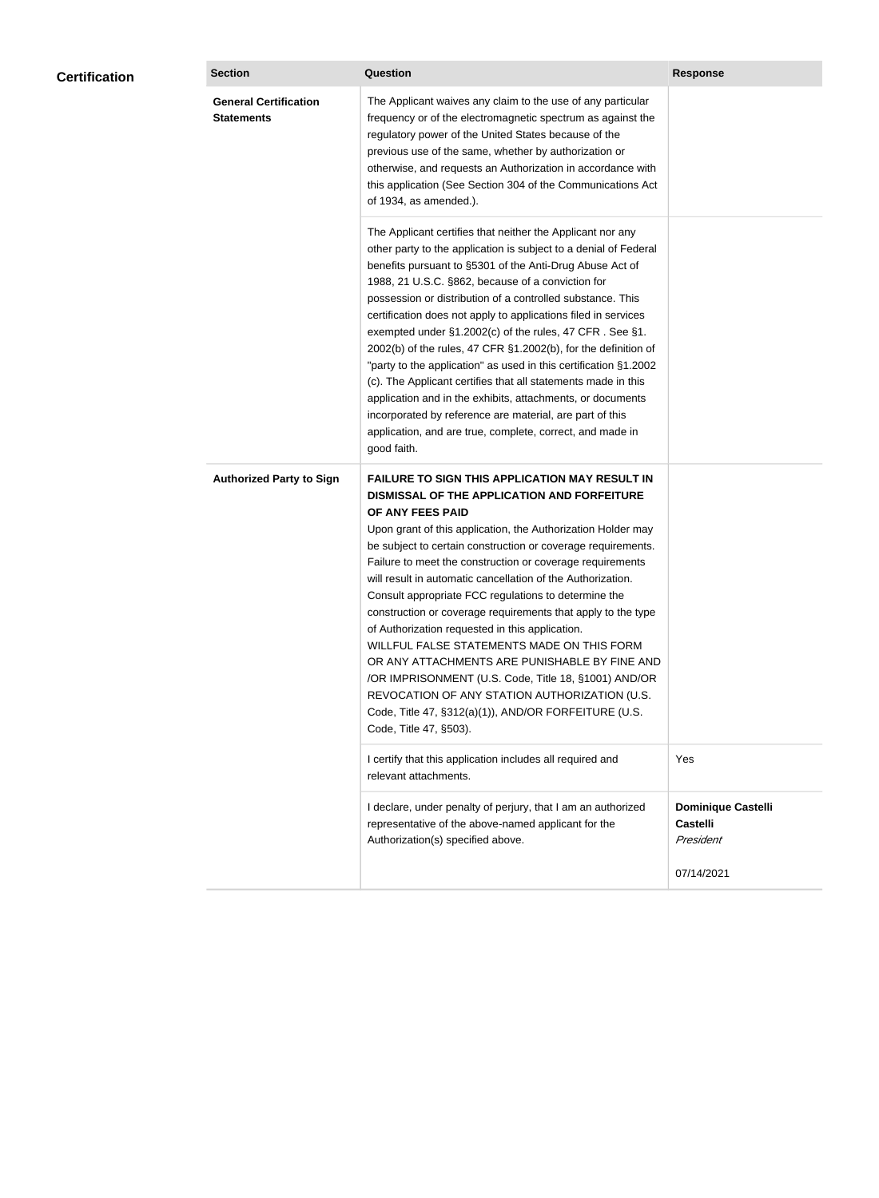| <b>Certification</b> | <b>Section</b>                                    | Question                                                                                                                                                                                                                                                                                                                                                                                                                                                                                                                                                                                                                                                                                                                                                                                                                                                  | <b>Response</b>                                           |
|----------------------|---------------------------------------------------|-----------------------------------------------------------------------------------------------------------------------------------------------------------------------------------------------------------------------------------------------------------------------------------------------------------------------------------------------------------------------------------------------------------------------------------------------------------------------------------------------------------------------------------------------------------------------------------------------------------------------------------------------------------------------------------------------------------------------------------------------------------------------------------------------------------------------------------------------------------|-----------------------------------------------------------|
|                      | <b>General Certification</b><br><b>Statements</b> | The Applicant waives any claim to the use of any particular<br>frequency or of the electromagnetic spectrum as against the<br>regulatory power of the United States because of the<br>previous use of the same, whether by authorization or<br>otherwise, and requests an Authorization in accordance with<br>this application (See Section 304 of the Communications Act<br>of 1934, as amended.).                                                                                                                                                                                                                                                                                                                                                                                                                                                       |                                                           |
|                      |                                                   | The Applicant certifies that neither the Applicant nor any<br>other party to the application is subject to a denial of Federal<br>benefits pursuant to §5301 of the Anti-Drug Abuse Act of<br>1988, 21 U.S.C. §862, because of a conviction for<br>possession or distribution of a controlled substance. This<br>certification does not apply to applications filed in services<br>exempted under §1.2002(c) of the rules, 47 CFR. See §1.<br>2002(b) of the rules, 47 CFR §1.2002(b), for the definition of<br>"party to the application" as used in this certification §1.2002<br>(c). The Applicant certifies that all statements made in this<br>application and in the exhibits, attachments, or documents<br>incorporated by reference are material, are part of this<br>application, and are true, complete, correct, and made in<br>good faith.   |                                                           |
|                      | <b>Authorized Party to Sign</b>                   | <b>FAILURE TO SIGN THIS APPLICATION MAY RESULT IN</b><br>DISMISSAL OF THE APPLICATION AND FORFEITURE<br>OF ANY FEES PAID<br>Upon grant of this application, the Authorization Holder may<br>be subject to certain construction or coverage requirements.<br>Failure to meet the construction or coverage requirements<br>will result in automatic cancellation of the Authorization.<br>Consult appropriate FCC regulations to determine the<br>construction or coverage requirements that apply to the type<br>of Authorization requested in this application.<br>WILLFUL FALSE STATEMENTS MADE ON THIS FORM<br>OR ANY ATTACHMENTS ARE PUNISHABLE BY FINE AND<br>/OR IMPRISONMENT (U.S. Code, Title 18, §1001) AND/OR<br>REVOCATION OF ANY STATION AUTHORIZATION (U.S.<br>Code, Title 47, §312(a)(1)), AND/OR FORFEITURE (U.S.<br>Code, Title 47, §503). |                                                           |
|                      |                                                   | I certify that this application includes all required and<br>relevant attachments.                                                                                                                                                                                                                                                                                                                                                                                                                                                                                                                                                                                                                                                                                                                                                                        | Yes                                                       |
|                      |                                                   | I declare, under penalty of perjury, that I am an authorized<br>representative of the above-named applicant for the<br>Authorization(s) specified above.                                                                                                                                                                                                                                                                                                                                                                                                                                                                                                                                                                                                                                                                                                  | <b>Dominique Castelli</b><br><b>Castelli</b><br>President |
|                      |                                                   |                                                                                                                                                                                                                                                                                                                                                                                                                                                                                                                                                                                                                                                                                                                                                                                                                                                           | 07/14/2021                                                |